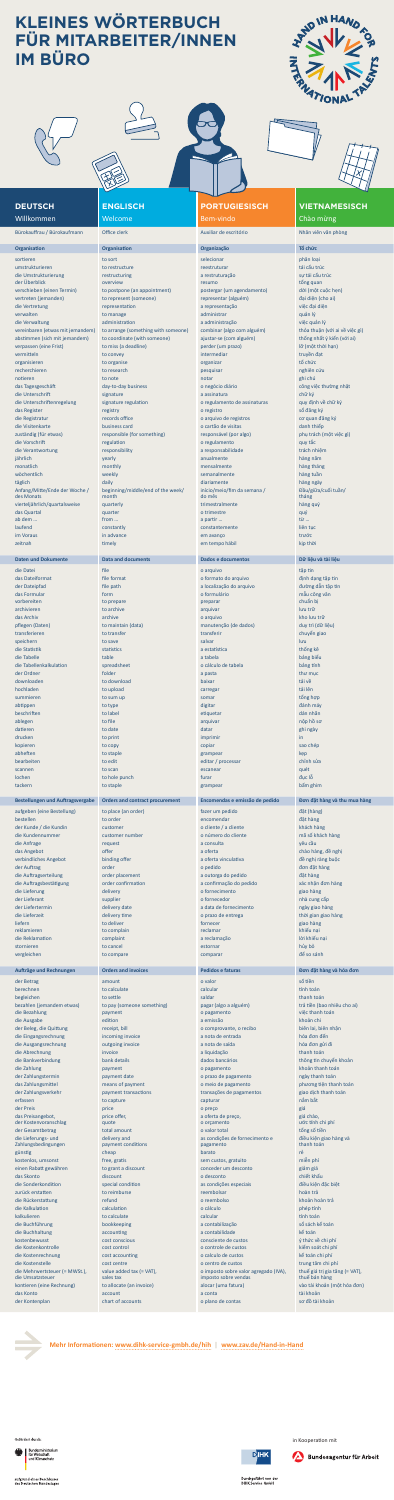**ENGLISCH** Welcome

## **PORTUGIESISCH** Bem-vindo

## **VIETNAMESISCH** Chào mừng

umstrukturieren to restructure reestruturar tái cấu trúc die Umstrukturierung restructuring a restruturação sự tái cấu trúc der Überblick overview resumo tổng quan tổng quan tổng quan tổng quan tổng quan tổng quan tổng quan tổng quan verschieben (einen Termin) to postpone (an appointment) postergar (um agendamento) dời (một cuộc hẹn) vertreten (jemanden) to represent (someone) representar (alguém) đại diện (cho ai) die Vertretung representation a representação việc đại diện verwalten to manage administrar administrar administrar quản lý die Verwaltung administration a administração việc quản lý vereinbaren (etwas mit jemandem) to arrange (something with someone) combinar (algo com alguém) thỏa thuận (với ai về việc gì) abstimmen (sich mit jemandem) to coordinate (with someone) ajustar-se (com alguém) thống nhất ý kiến (với ai) verpassen (eine Frist) to miss (a deadline) perder (um prazo) lõ (một thời hạn) vermitteln to convey to convey intermediar to convey to convey to convey the converte of the convex of the conve organisieren to organise organizar tổ chức recherchieren to research pesquisar nghiên cứu notieren to andere to note notar ghi chú andere notar ghi chú andere notar ghi chú ann an ghi chú an ghi chú a das Tagesgeschäft day-to-day business o negócio diário công việc thường nhật die Unterschrift signature signature a assinatura chữ ký chữ ký chữ ký chữ ký chữ ký chữ ký chữ ký chữ ký chữ ký die Unterschriftenregelung signature regulation o regulamento de assinaturas quy định về chữ ký das Register registro registry o registro số đăng ký hoạt that the số đăng ký hoạt that the số đăng ký hoạt th die Registratur records office o arquivo de registros cơ quan đăng ký die Visitenkarte business card o cartão de visitas danh thiếp zuständig (für etwas) responsible (for something) responsável (por algo) phụ trách (một việc gì) die Vorschrift **and the Constantine and the Constantine and the Constantine and the Constantine and the Constantine American constantine and the Constantine and the Constantine and the Constantine and the Constantine and t** die Verantwortung ein anderes versponsibility a responsabilidade trách nhiệm jährlich yearly anualmente hàng năm monatlich monthly mensalmente hàng tháng wöchentlich weekly semanalmente hàng tuần täglich daily daily daily daily daily diariamente daily diariamente daily diariamente daily hàng ngày Anfang/Mitte/Ende der Woche / beginning/middle/end of the week/ month vierteljährlich/quartalsweise quarterly quarterly trimestralmente hàng quý das Quartal quarter o trimestre quarter o trimestre quarter o trimestre qu $\mathsf{q}\mathsf{u}\mathsf{y}$ ab dem … from … from … from … a partir … a partir … constant of từ … **laufend** constantly constantly constant constantemente liên tục liên tục liên tục liên tục liên tục liên tục li im Voraus in activitative em avanço de la componente de la componente de la componente de la componente de la c zeitnah timely timely timely timely timely thời nhau time thời nhau time thời nhau timely thời nhau timely thời

Bürokauffrau / Bürokaufmann Office clerk Auxiliar de escritório Nhân viên văn phòng

# **Organisation Organisation Organização Tổ chức**

sortieren to sort selecionar phân loại to sort selecionar phân loại trong phân loại trong phân loại início/meio/fim da semana / do mês

die Datei file o arquivo tập tin thấp tin thiết thấp tin thấp tin thấp tin thấp tin thấp tin thấp tin thấp tin das Dateiformat file format file format o formato do arquivo do arquivo dinh dang tập tin der Dateipfad file path a localização do arquivo de durante divorge dẫn tập tin das Formular form o formulário mẫu công văn

des Monats

Đầu/giữa/cuối tuần/ tháng

**Daten und Dokumente Data and documents Dados e documentos Dữ liệu và tài liệu**

| vorbereiten                             | to prepare                             | preparar                              | chuẩn bị                       |
|-----------------------------------------|----------------------------------------|---------------------------------------|--------------------------------|
| archivieren                             | to archive                             | arquivar                              | lưu trữ                        |
| das Archiv                              | archive                                |                                       | kho lưu trữ                    |
|                                         |                                        | o arquivo                             |                                |
| pflegen (Daten)                         | to maintain (data)                     | manutenção (de dados)                 | duy trì (dữ liệu)              |
| transferieren                           | to transfer                            | transferir                            | chuyển giao                    |
| speichern                               | to save                                | salvar                                | lưu                            |
| die Statistik                           | statistics                             | a estatística                         | thống kê                       |
| die Tabelle                             | table                                  | a tabela                              | bảng biểu                      |
| die Tabellenkalkulation                 | spreadsheet                            | o cálculo de tabela                   | bảng tính                      |
| der Ordner                              | folder                                 |                                       | thư mục                        |
|                                         |                                        | a pasta                               |                                |
| downloaden                              | to download                            | baixar                                | tải về                         |
| hochladen                               | to upload                              | carregar                              | tải lên                        |
| summieren                               | to sum up                              | somar                                 | tổng hợp                       |
| abtippen                                | to type                                | digitar                               | đánh máy                       |
| beschriften                             | to label                               | etiquetar                             | dán nhãn                       |
| ablegen                                 | to file                                | arquivar                              | nộp hồ sơ                      |
| datieren                                | to date                                | datar                                 | ghi ngày                       |
|                                         |                                        |                                       |                                |
| drucken                                 | to print                               | imprimir                              | in                             |
| kopieren                                | to copy                                | copiar                                | sao chép                       |
| abheften                                | to staple                              | grampear                              | kep                            |
| bearbeiten                              | to edit                                | editar / processar                    | chỉnh sửa                      |
| scannen                                 | to scan                                | escanear                              | quét                           |
|                                         |                                        |                                       |                                |
| lochen                                  | to hole punch                          | furar                                 | đục lỗ                         |
| tackern                                 | to staple                              | grampear                              | bấm ghim                       |
|                                         |                                        |                                       |                                |
| <b>Bestellungen und Auftragsvergabe</b> | <b>Orders and contract procurement</b> | Encomendas e emissão de pedido        | Đơn đặt hàng và thu mua hàng   |
|                                         |                                        |                                       |                                |
| aufgeben (eine Bestellung)              | to place (an order)                    | fazer um pedido                       | đặt (hàng)                     |
| bestellen                               | to order                               | encomendar                            | đặt hàng                       |
| der Kunde / die Kundin                  | customer                               | o cliente / a cliente                 | khách hàng                     |
| die Kundennummer                        | customer number                        | o número do cliente                   | mã số khách hàng               |
| die Anfrage                             | request                                | a consulta                            | yêu cầu                        |
| das Angebot                             | offer                                  | a oferta                              | chào hàng, đề nghị             |
|                                         |                                        |                                       |                                |
| verbindliches Angebot                   | binding offer                          | a oferta vinculativa                  | đề nghị ràng buộc              |
| der Auftrag                             | order                                  | o pedido                              | đơn đặt hàng                   |
| die Auftragserteilung                   | order placement                        | a outorga do pedido                   | đặt hàng                       |
| die Auftragsbestätigung                 | order confirmation                     | a confirmação do pedido               | xác nhận đơn hàng              |
| die Lieferung                           | delivery                               | o fornecimento                        | giao hàng                      |
| der Lieferant                           | supplier                               | o fornecedor                          | nhà cung cấp                   |
|                                         |                                        |                                       |                                |
| der Liefertermin                        | delivery date                          | a data de fornecimento                | ngày giao hàng                 |
| die Lieferzeit                          | delivery time                          | o prazo de entrega                    | thời gian giao hàng            |
| liefern                                 | to deliver                             | fornecer                              | giao hàng                      |
| reklamieren                             | to complain                            | reclamar                              | khiếu nại                      |
| die Reklamation                         | complaint                              | a reclamação                          | lời khiếu nại                  |
| stornieren                              | to cancel                              | estornar                              | hủy bỏ                         |
|                                         |                                        |                                       |                                |
|                                         |                                        |                                       |                                |
| vergleichen                             | to compare                             | comparar                              | để so sánh                     |
|                                         |                                        |                                       |                                |
| Aufträge und Rechnungen                 | <b>Orders and invoices</b>             | <b>Pedidos e faturas</b>              | Đơn đặt hàng và hóa đơn        |
|                                         |                                        |                                       |                                |
| der Betrag                              | amount                                 | o valor                               | số tiền                        |
| berechnen                               | to calculate                           | calcular                              | tính toán                      |
| begleichen                              | to settle                              | saldar                                | thanh toán                     |
| bezahlen (jemandem etwas)               | to pay (someone something)             | pagar (algo a alguém)                 | trả tiền (bao nhiêu cho ai)    |
| die Bezahlung                           | payment                                | o pagamento                           | việc thanh toán                |
| die Ausgabe                             | edition                                | a emissão                             | khoản chi                      |
|                                         |                                        |                                       |                                |
| der Beleg, die Quittung                 | receipt, bill                          | o comprovante, o recibo               | biên lai, biên nhận            |
| die Eingangsrechnung                    | incoming invoice                       | a nota de entrada                     | hóa đơn đến                    |
| die Ausgangsrechnung                    | outgoing invoice                       | a nota de saída                       | hóa đơn gửi đi                 |
| die Abrechnung                          | invoice                                | a liquidação                          | thanh toán                     |
| die Bankverbindung                      | bank details                           | dados bancários                       | thông tin chuyển khoản         |
| die Zahlung                             | payment                                | o pagamento                           | khoản thanh toán               |
| der Zahlungstermin                      | payment date                           | o prazo de pagamento                  | ngày thanh toán                |
|                                         |                                        |                                       |                                |
| das Zahlungsmittel                      | means of payment                       | o meio de pagamento                   | phương tiện thanh toán         |
| der Zahlungsverkehr                     | payment transactions                   | transações de pagamentos              | giao dịch thanh toán           |
| erfassen                                | to capture                             | capturar                              | nắm bắt                        |
| der Preis                               | price                                  | o preço                               | giá                            |
| das Preisangebot,                       | price offer,                           | a oferta de preço,                    | giá chào,                      |
| der Kostenvoranschlag                   | quote                                  | o orçamento                           | ước tính chi phí               |
| der Gesamtbetrag                        | total amount                           | o valor total                         | tổng số tiền                   |
| die Lieferungs- und                     | delivery and                           | as condições de fornecimento e        | điều kiên giao hàng và         |
| Zahlungsbedingungen                     | payment conditions                     | pagamento                             | thanh toán                     |
| günstig                                 | cheap                                  | barato                                | rẻ                             |
|                                         |                                        |                                       |                                |
| kostenlos, umsonst                      | free, gratis                           | sem custos, gratuito                  | miễn phí                       |
| einen Rabatt gewähren                   | to grant a discount                    | conceder um desconto                  | giảm giá                       |
| das Skonto                              | discount                               | o desconto                            | chiết khấu                     |
| die Sonderkondition                     | special condition                      | as condições especiais                | điều kiên đắc biết             |
| zurück erstatten                        | to reimburse                           | reembolsar                            | hoàn trả                       |
| die Rückerstattung                      | refund                                 | o reembolso                           | khoản hoàn trả                 |
| die Kalkulation                         | calculation                            | o cálculo                             | phép tính                      |
|                                         |                                        |                                       |                                |
| kalkulieren                             | to calculate                           | calcular                              | tính toán                      |
| die Buchführung                         | bookkeeping                            | a contabilização                      | sổ sách kế toán                |
| die Buchhaltung                         | accounting                             | a contabilidade                       | kế toán                        |
| kostenbewusst                           | cost conscious                         | consciente de custos                  | ý thức về chi phí              |
| die Kostenkontrolle                     | cost control                           | o controle de custos                  | kiểm soát chi phí              |
|                                         |                                        |                                       |                                |
| die Kostenrechnung                      | cost accounting                        | o calculo de custos                   | kế toán chi phí                |
| die Kostenstelle                        | cost centre                            | o centro de custos                    | trung tâm chi phí              |
| die Mehrwertsteuer (= MWSt.),           | value added tax (= VAT),               | o imposto sobre valor agregado (IVA), | thuế giá trị gia tăng (= VAT), |
| die Umsatzsteuer                        | sales tax                              | imposto sobre vendas                  | thuế bán hàng                  |
| kontieren (eine Rechnung)               | to allocate (an invoice)               | alocar (uma fatura)                   | vào tài khoản (một hóa đơn)    |
| das Konto<br>der Kontenplan             | account<br>chart of accounts           | a conta<br>o plano de contas          | tài khoản<br>sơ đồ tài khoản   |



# **KLEINES WÖRTERBUCH FÜR MITARBEITER/INNEN IM BÜRO**







in Kooperation mit





Durchgeführt von der **DIHK Service GmbH** 

**Mehr Informationen: [www.dihk-service-gmbh.de/hih](https://www.dihk-service-gmbh.de/hih) | [www.zav.de/Hand-in-Hand](http://www.zav.de/Hand-in-Hand)**

Gefördert durch:

Bundesministerium<br>für Wirtschaft<br>und Klimaschutz 纝

aufgrund eines Beschlusses des Deutschen Bundestages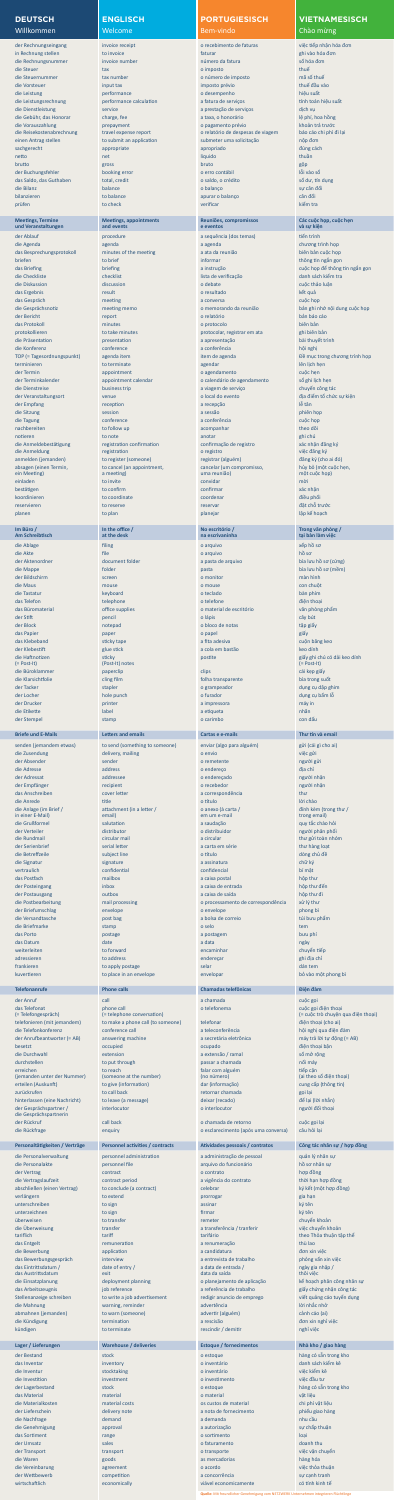## **ENGLISCH**

Welcome

der Rechnungseingang invoice receipt o recebimento de faturas việc tiếp nhận hóa đơn in Rechnung stellen to invoice faturar ghi vào hóa đơn ghi vào hóa đơn ghi vào hóa đơn ghi vào hóa đơn ghi vào die Rechnungsnummer invoice number número da fatura số hóa đơn die Steuer tax o imposto tax o imposto tax o imposto tax o imposto tax o imposto tax o imposto tax o imposto t die Steuernummer tax number tax number o número de imposto mã số thuế die Vorsteuer in put tax imput tax imposto prévio thuế đầu vào thuế đầu vào thuế đầu vào thuế đầu vào thuế đầu vào die Leistung performance bis performance die bereikt van die besteht van die besteht van die besteht van die b die Leistungsrechnung performance calculation a fatura de serviços tính toán hiệu suất die Dienstleistung service a prestação de serviços dịch vụ die Gebühr, das Honorar charge, fee a taxa, o honorário lệ phí, hoa hồng die Vorauszahlung prepayment o pagamento prévio khoản trả trước die Reisekostenabrechnung travel expense report o relatório de despesas de viagem báo cáo chi phí đi lại einen Antrag stellen to submit an application submeter uma solicitação nộp đơn sachgerecht appropriate appropriate appropriate appropriado d'úng cách appropriado d'úng cách appropriado d'ún netto thuần thuần thuần thuần thuận thuận thuận thuận thuận thuận thuận thuận thuận thuận thuận thuận thuận th brutto gross bruto gross bruto gross bruto gòp der Buchungsfehler booking error booking error o erro contábil booking error booking error o error o erro contábil l $\tilde{0}$ i vào sổ das Saldo, das Guthaben total, credit o saldo, o crédito só dư, tín dụng die Bilanz balance o balanço sự cân đối bilanzieren die bilanzieren to balance apurar o balanço cân đối that the balanço cân đối that the balance cân đối

## **PORTUGIESISCH**

#### Bem-vindo

## **VIETNAMESISCH** Chào mừng

der Ablauf procedure a sequência (dos temas) tiến trình die Agenda agenda a agenda chương trình họp das Besprechungsprotokoll minutes of the meeting a ata da reunião biên bản cuộc họp briefen to brief informar thông tin ngắn gọn thông tin ngắn gọn thông tin ngắn gọn thông tin ngắn gọn thông tin ngắn gọn thông tin ngắn gọn thông tin ngắn gọn thông tin ngắn gọn thông tin ngắn gọn thông tin ngắn gọn thông das Briefing briefing briefing briefing briefing a instrução cuộc họp để thông tin ngắn gọn die Checkliste checkliste checklist checklist checklist lista de verificação danh sách kiểm tra die Diskussion discussion o debate cuộc thảo luận das Ergebnis resultado kết quản that the construction of the construction of the construction of the construction of the construction of the construction of the construction of the construction of the construction of the c das Gespräch meeting a conversa cuộc họp cuộc họp cuộc họp cuộc họp cuộc họp cuộc họp cuộc họp cuộc họp cuộc họp die Gesprächsnotiz meeting memo o memorando da reunião bản ghi nhớ nội dung cuộc họp der Bericht report o relatório bản báo cáo das Protokoll minutes o protocolo biên bản protokollieren to take minutes based by to take minutes protocolar, registrar em ata ghi biên bản die Präsentation presentation a apresentação bài thuyết trình die Konferenz conference conference a conferência hội nghị TOP (= Tagesordnungspunkt) agenda item item item de agenda item de agenda Đề mục trong chương trình họp terminieren to terminate and to terminate agendar lên lịch hẹn lên lịch hẹn terminate agendar lên lịch hẹn lên der Termin appointment o agendamento cuộc hẹn cuộc hẹn cuộc hẹn cuộc hẹn cuộc hẹn cuộc hẹn cuộc hẹn cuộc hẹn c der Terminkalender appointment calendar o calendário de agendamento sổ ghi lịch hẹn die Dienstreise business trip a viagem de serviço chuyến công tác der Veranstaltungsort venue o local do evento địa điểm tổ chức sự kiện der Empfang reception a reception a reception a recepção la proposa de la proposa de lễ tân die Sitzung session a sessão phiên họp die Tagung conference a conference a conferência conferência conferência cuộc họp cuộc họp cuộc họp cuộc họp c nachbereiten to to follow up acompanhar theo dõistle theo dõistle theo dõistle theo dõistle theo dõistle theo dõi notieren to anotar ghi chú anotar ghi chú anotar ghi chú anotar ghi chú anotar ghi chú anotar ghi chú anotar g die Anmeldebestätigung registration confirmation confirmation confirmação de registro xác nhận đăng ký die Anmeldung registration o registro việc đăng ký anmelden (jemanden) to register (someone) registrar (alguém) đăng ký (cho ai đó) cancelar (um compromisso, uma reunião) einladen to invite convidar mòi divite convidar mòi divite convidar mòi divite convidar mòi divite convidar mò bestätigen to confirm to confirmar xác nhận xác nhận xác nhận xác nhận xác nhận xác nhận xác nhận xác nhận xác nhận koordinieren to coordinate coordenar diều phối to coordenar điều phối to coordenar điều phối reservieren to to reserve to reserve and to reservar and the reservar to reservar and the dặt chỗ trước planen to plan planejar lập kế hoạch to plan planejar lập kế hoạch that planejar lập kế hoạch trong that the b

| invoice receipt          | o recebimento de faturas          | việc tiếp |
|--------------------------|-----------------------------------|-----------|
| to invoice               | faturar                           | ghi vào   |
| invoice number           | número da fatura                  | số hóa d  |
| tax                      | o imposto                         | thuế      |
| tax number               | o número de imposto               | mã số th  |
| input tax                | imposto prévio                    | thuế đầ   |
| performance              | o desempenho                      | hiệu suá  |
| performance calculation  | a fatura de serviços              | tính toá  |
| service                  | a prestação de serviços           | dịch vụ   |
| charge, fee              | a taxa, o honorário               | lệ phí, h |
| prepayment               | o pagamento prévio                | khoản t   |
| travel expense report    | o relatório de despesas de viagem | báo cáo   |
| to submit an application | submeter uma solicitação          | nộp đơr   |
| appropriate              | apropriado                        | đúng cá   |
| net                      | liquido                           | thuần     |
| gross                    | bruto                             | gộp       |
| booking error            | o erro contábil                   | lỗi vào s |
| total, credit            | o saldo, o crédito                | số dư, ti |
| balance                  | o balanço                         | sự cân d  |
| to balance               | apurar o balanço                  | cân đối   |
| to check                 | verificar                         | kiểm tra  |
|                          |                                   |           |

#### **Meetings, Termine und Veranstaltungen**

**Meetings, appointments** 

**and events**

#### **Reuniões, compromissos e eventos**

#### **Các cuộc họp, cuộc hẹn và sự kiện**

die Ablage filing filing o arquivo xếp hồ sơ xếp hồ sơ xếp hồ sơ xếp hồ sơ xếp hồ sơ xếp hồ sơ xếp hồ sơ xếp hồ die Akte file o arquivo hồ sơ hồ sơ thành thành thành thành thành thành thành thành thành thành thành thành th der Aktenordner document folder a pasta de arquivo bìa lưu hồ sơ (cứng) die Mappe folder folder pasta bìa lưu hồ sơ (mềm) như thành thành thành thành thành thành thành thành thành thành thành thành thành thành thành thành thành thành thành thành thành thành thành thành thành thành thành thành der Bildschirm screen o monitor màn hình die Maus mouse o mouse con chuột die Tastatur keyboard o teclado bàn phím

absagen (einen Termin, ein Meeting)

to cancel (an appointment,

a meeting)

hủy bỏ (một cuộc hẹn, một cuộc họp)

#### **Im Büro / Am Schreibtisch**

**In the office / at the desk**

#### **No escritório / na escrivaninha**

#### **Trong văn phòng / tại bàn làm việc**

|                                          | telephone                                         | o telefone                                | diên thoai                                |
|------------------------------------------|---------------------------------------------------|-------------------------------------------|-------------------------------------------|
| das Büromaterial                         | office supplies                                   | o material de escritório                  | văn phòng phẩm                            |
| der Stift<br>der Block                   | pencil<br>notepad                                 | o lápis<br>o bloco de notas               | cây bút<br>tập giấy                       |
| das Papier                               | paper                                             | o papel                                   | giấy                                      |
| das Klebeband                            | sticky tape                                       | a fita adesiva                            | cuộn băng keo                             |
| der Klebestift                           | glue stick                                        | a cola em bastão                          | keo dính                                  |
| die Haftnotizen                          | sticky                                            | postite                                   | giấy ghi chú có dải keo dính              |
| $(= Post-It)$                            | (Post-It) notes                                   |                                           | $(= Post-It)$                             |
| die Büroklammer                          | paperclip                                         | clips                                     | cái kẹp giấy                              |
| die Klarsichtfolie                       | cling film                                        | folha transparente                        | bìa trong suốt<br>dụng cụ dập ghim        |
| der Tacker<br>der Locher                 | stapler<br>hole punch                             | o grampeador<br>o furador                 | dụng cụ bấm lỗ                            |
| der Drucker                              | printer                                           | a impressora                              | máy in                                    |
| die Etikette                             | label                                             | a etiqueta                                | nhãn                                      |
| der Stempel                              | stamp                                             | o carimbo                                 | con dấu                                   |
|                                          |                                                   |                                           |                                           |
| <b>Briefe und E-Mails</b>                | <b>Letters and emails</b>                         | Cartas e e-mails                          | Thư tín và email                          |
| senden (jemandem etwas)                  | to send (something to someone)                    | enviar (algo para alguém)                 | gửi (cái gì cho ai)                       |
| die Zusendung                            | delivery, mailing                                 | o envio                                   | việc gửi                                  |
| der Absender                             | sender                                            | o remetente                               | người gửi                                 |
| die Adresse                              | address                                           | o endereço                                | địa chỉ                                   |
| der Adressat                             | addressee                                         | o endereçado                              | người nhận                                |
| der Empfänger                            | recipient                                         | o recebedor                               | người nhận                                |
| das Anschreiben                          | cover letter                                      | a correspondência<br>o título             | thư<br>lời chào                           |
| die Anrede<br>die Anlage (im Brief /     | title<br>attachment (in a letter /                | o anexo (à carta /                        | dính kèm (trong thư /                     |
| in einer E-Mail)                         | email)                                            | em um e-mail                              | trong email)                              |
| die Grußformel                           | salutation                                        | a saudação                                | quy tắc chào hỏi                          |
| der Verteiler                            | distributor                                       | o distribuidor                            | người phân phối                           |
| die Rundmail                             | circular mail                                     | a circular                                | thư gửi toàn nhóm                         |
| der Serienbrief                          | serial letter                                     | a carta em série                          | thư hàng loạt                             |
| die Betreffzeile                         | subject line                                      | o título                                  | dòng chủ đề                               |
| die Signatur<br>vertraulich              | signature<br>confidential                         | a assinatura<br>confidencial              | chữ ký<br>bí mât                          |
| das Postfach                             | mailbox                                           | a caixa postal                            | hộp thư                                   |
| der Posteingang                          | inbox                                             | a caixa de entrada                        | hộp thư đến                               |
| der Postausgang                          | outbox                                            | a caixa de saída                          | hộp thư đi                                |
| die Postbearbeitung                      | mail processing                                   | o processamento de correspondência        | xử lý thư                                 |
| der Briefumschlag                        | envelope                                          | o envelope                                | phong bì                                  |
| die Versandtasche                        | post bag                                          | a bolsa de correio                        | túi bưu phẩm                              |
| die Briefmarke                           | stamp                                             | o selo                                    | tem                                       |
| das Porto                                | postage                                           | a postagem                                | bưu phí                                   |
| das Datum                                | date                                              | a data                                    | ngày                                      |
| weiterleiten                             | to forward                                        | encaminhar                                | chuyển tiếp                               |
| adressieren                              | to address                                        | endereçar                                 | ghi địa chỉ                               |
| frankieren<br>kuvertieren                | to apply postage<br>to place in an envelope       | selar<br>envelopar                        | dán tem<br>bỏ vào một phong bì            |
|                                          |                                                   |                                           |                                           |
| <b>Telefonanrufe</b>                     | <b>Phone calls</b>                                | <b>Chamadas telefônicas</b>               | Điện đàm                                  |
| der Anruf                                | call                                              | a chamada                                 | cuộc gọi                                  |
| das Telefonat                            | phone call                                        | o telefonema                              | cuộc gọi điện thoại                       |
| (= Telefongespräch)                      | (= telephone conversation)                        |                                           | (= cuộc trò chuyện qua điện thoại)        |
| telefonieren (mit jemandem)              | to make a phone call (to someone)                 | telefonar                                 | điện thoại (cho ai)                       |
| die Telefonkonferenz                     | conference call                                   | a teleconferência                         | hội nghị qua điện đàm                     |
| der Anrufbeantworter (= AB)              | answering machine                                 | a secretária eletrônica                   | máy trả lời tự động (= AB)                |
| besetzt                                  | occupied                                          | ocupado                                   | điện thoại bận                            |
| die Durchwahl                            | extension                                         | a extensão / ramal                        | số mở rộng                                |
|                                          |                                                   |                                           |                                           |
| durchstellen                             | to put through                                    | passar a chamada                          | nối máy                                   |
| erreichen<br>(jemanden unter der Nummer) | to reach<br>(someone at the number)               | falar com alguém<br>(no número)           | tiếp cận<br>(ai theo số điện thoại)       |
| erteilen (Auskunft)                      | to give (information)                             | dar (informação)                          | cung cấp (thông tin)                      |
| zurückrufen                              | to call back                                      | retornar chamada                          | gọi lại                                   |
| hinterlassen (eine Nachricht)            | to leave (a message)                              | deixar (recado)                           | để lại (lời nhắn)                         |
| der Gesprächspartner /                   | interlocutor                                      | o interlocutor                            | người đối thoại                           |
| die Gesprächspartnerin                   |                                                   |                                           |                                           |
| der Rückruf                              | call back                                         | o chamada de retorno                      | cuộc gọi lại<br>câu hỏi lại               |
| die Rückfrage                            | enquiry                                           | o esclarecimento (após uma conversa)      |                                           |
| Personaltätigkeiten / Verträge           | <b>Personnel activities / contracts</b>           | Atividades pessoais / contratos           | Công tác nhân sự / hợp đồng               |
| die Personalverwaltung                   | personnel administration                          | a administração de pessoal                | quản lý nhân sự                           |
| die Personalakte                         | personnel file                                    | arquivo do funcionário                    | hồ sơ nhân sư                             |
| der Vertrag                              | contract                                          | o contrato                                | hợp đồng                                  |
| die Vertragslaufzeit                     | contract period                                   | a vigência do contrato                    | thời hạn hợp đồng                         |
| abschließen (einen Vertrag)              | to conclude (a contract)                          | celebrar                                  | ký kết (một hợp đồng)                     |
| verlängern                               | to extend                                         | prorrogar                                 | gia hạn                                   |
| unterschreiben                           | to sign                                           | assinar                                   | ký tên                                    |
| unterzeichnen                            | to sign                                           | firmar                                    | ký tên                                    |
| überweisen<br>die Überweisung            | to transfer<br>transfer                           | remeter<br>a transferência / tranferir    | chuyển khoản                              |
| tariflich                                | tariff                                            | tarifário                                 | việc chuyển khoản                         |
| das Entgelt                              | remuneration                                      | a renumeração                             | theo Thỏa thuận tập thể<br>thù lao        |
| die Bewerbung                            | application                                       | a candidatura                             | đơn xin việc                              |
| das Bewerbungsgespräch                   | interview                                         | a entrevista de trabalho                  | phỏng vấn xin việc                        |
| das Eintrittsdatum /                     | date of entry /                                   | a data de entrada /                       | ngày gia nhập /                           |
| das Austrittsdatum                       | exit                                              | data da saída                             | thôi việc                                 |
| die Einsatzplanung                       | deployment planning                               | o planejamento de aplicação               | kế hoạch phân công nhân sự                |
| das Arbeitszeugnis                       | job reference                                     | a referência de trabalho                  | giấy chứng nhận công tác                  |
| Stellenanzeige schreiben<br>die Mahnung  | to write a job advertisement<br>warning, reminder | redigir anuncio de emprego<br>advertência | viết quảng cáo tuyển dụng<br>lời nhắc nhở |
| abmahnen (jemanden)                      | to warn (someone)                                 | advertir (alguém)                         | cảnh cáo (ai)                             |
| die Kündigung                            | termination                                       | a rescisão                                | đơn xin nghỉ việc                         |
| kündigen                                 | to terminate                                      | rescindir / demitir                       | nghỉ việc                                 |
|                                          |                                                   |                                           |                                           |
| Lager / Lieferungen                      | <b>Warehouse / deliveries</b>                     | <b>Estoque / fornecimentos</b>            | Nhà kho / giao hàng                       |
| der Bestand                              | stock                                             | o estoque                                 | hàng có sẵn trong kho                     |
| das Inventar                             | inventory                                         | o inventário                              | danh sách kiểm kê                         |
| die Inventur                             | stocktaking                                       | o inventário                              | việc kiểm kê                              |
| die Investition                          | investment                                        | o investimento                            | việc đầu tư                               |
| der Lagerbestand<br>das Material         | stock<br>material                                 | o estoque<br>o material                   | hàng có sẵn trong kho<br>vật liệu         |
| die Materialkosten                       | material costs                                    | os custos de material                     | chi phí vật liệu                          |
| der Lieferschein                         | delivery note                                     | a nota de fornecimento                    | phiếu giao hàng                           |
| die Nachfrage                            | demand                                            | a demanda                                 | nhu cầu                                   |
| die Genehmigung                          | approval                                          | a autorização                             | sự chấp thuận                             |
| das Sortiment                            | range                                             | o sortimento                              | loai                                      |
| der Umsatz                               | sales                                             | o faturamento                             | doanh thu                                 |
| der Transport                            | transport                                         | o transporte                              | việc vận chuyển                           |
| die Waren                                | goods                                             | as mercadorias                            | hàng hóa                                  |
| die Vereinbarung<br>der Wettbewerb       | agreement<br>competition                          | o acordo<br>a concorrência                | việc thỏa thuận<br>sự cạnh tranh          |

**Quelle:** Mit freundlicher Genehmigung vom NETZWERK Unternehmen integrieren Flüchtlinge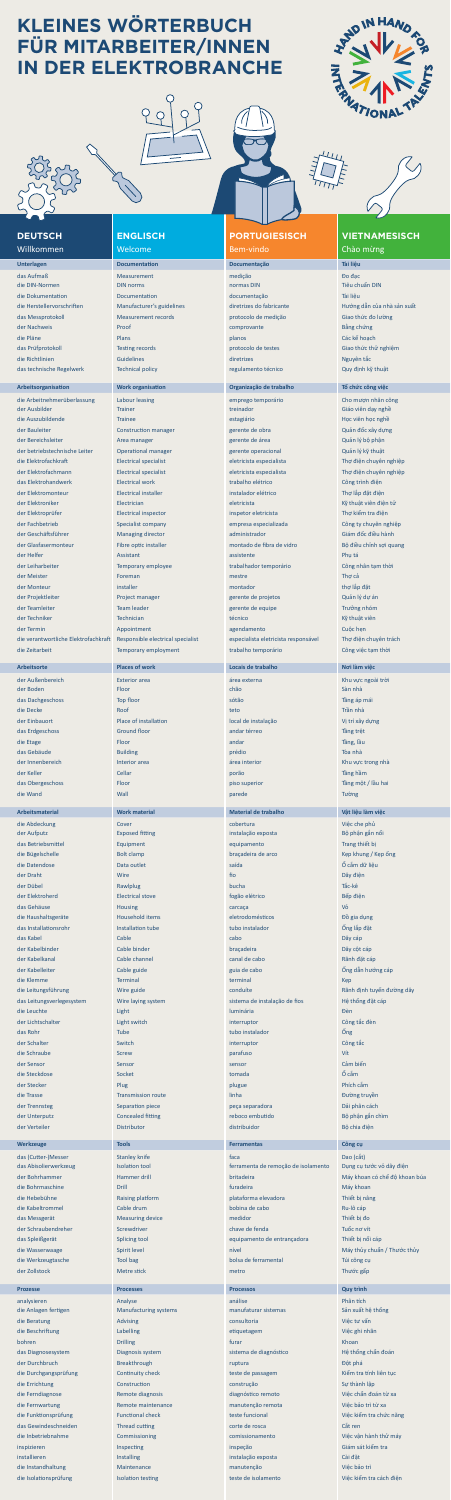## **ENGLISCH**

## **PORTUGIESISCH** Bem-vindo

das technische Regelwerk Technical policy regulamento técnico Quy định kỹ thuật

## **VIETNAMESISCH** Chào mừng

Welcome **Unterlagen Documentation Documentação Tài liệu** das Aufmaß Measurement medição Đo đạc die DIN-Normen **DIN DIN NORTHER DIN 1999 DIN DIN DIN DIN** Normas DIN Normas DIN Tiêu chuẩn DIN die Dokumentation Documentation documentação Tài liệu das Messprotokoll Measurement records protocolo de medição Giao thức đo lường der Nachweis Proof comprovante Bằng chứng die Pläne Planos Planos Planos Planos Planos Planos Planos Planos Planos Planos Planos Planos Planos Planos Pl das Prüfprotokoll Testing records protocolo de testes Giao thức thử nghiệm

die Herstellervorschriften Manufacturer's guidelines diretrizes do fabricante Hướng dẫn của nhà sản xuất

## **DEUTSCH Willkommen**

die Richtlinien Nguyên tắc Guidelines directrizes diretrizes Nguyên tắc Nguyên tắc Angliche Handelines Nguyên tắc

#### **Arbeitsorganisation Work organisation Organização de trabalho Tổ chức công việc**

die Arbeitnehmerüberlassung Labour leasing emprego temporário Cho mượn nhân công der Ausbilder Trainer Trainer treinador treinador treinador Giáo viên dạy nghề die Auszubildende **Errainee Errainee estagiário estagiário** Học viên học nghề der Bauleiter Construction manager and gerente de obra Quản đốc xây dựng der Bereichsleiter **Area manager** Area manager gerente de área Quản lý bộ phận der betriebstechnische Leiter Operational manager gerente operacional Quản lý kỹ thuật die Elektrofachkraft Electrical specialist Electrical specialist eletricista especialista Thợ điện chuyên nghiệp der Elektrofachmann Electrical specialist eletricista especialista Thợ điện chuyên nghiệp das Elektrohandwerk Electrical work trabalho elétrico Công trình điện der Elektromonteur Electrical installer instalador elétrico Thợ lắp đặt điện der Elektroniker Electrician Electrician eletricista eletricista Kỹ thuật viên điện tử der Elektroprüfer Electrical inspector inspetor eletricista Thợ kiểm tra điện der Fachbetrieb Specialist company empresa especializada Công ty chuyên nghiệp der Geschäftsführer Managing director administrador administrador Giám đốc điều hành der Glasfasermonteur Fibre optic installer montado de fibra de vidro Bộ điều chỉnh sợi quang der Helfer Assistant Assistant assistente Phụ tá thường that the Phụ tá thường that the Phụ tá thường that the der Leiharbeiter Temporary employee trabalhador temporário Công nhân tạm thời der Meister Foreman mestre Thợ cả der Monteur installer montador thợ lắp đặt der Projektleiter **Eropect manager** Project manager gerente de projetos Quản lý dự án der Teamleiter Team leader gerente de equipe Trưởng nhóm der Techniker Technician técnico Kỹ thuật viên técnico Kỹ thuật viên técnico Kỹ thuật viên técnico Kỹ thuật viê der Termin Appointment Appointment agendamento Cuộc hẹn Cuộc hẹn Cuộc hẹn Appointment agendamento Cuộc hẹn Cuộc hẹn die verantwortliche Elektrofachkraft Responsible electrical specialist especialista eletricista responsável Thợ điện chuyên trách die Zeitarbeit Temporary employment trabalho temporário Công việc tạm thời

## **Arbeitsorte Places of work Locais de trabalho Nơi làm việc**

der Außenbereich Exterior area and Exterior area and Externa Externa Externa Externa Externa Externa Khu vực ngoài trời

die Durchgangsprüfung Continuity check teste de passagem Kiểm tra tính liên tục die Errichtung Construction construção Sự thành lập die Ferndiagnose Remote diagnosis diagnóstico remoto Việc chẩn đoán từ xa die Fernwartung Remote maintenance manutenção remota Việc bảo trì từ xa die Funktionsprüfung Functional check teste funcional Việc kiểm tra chức năng das Gewindeschneiden Thread cutting corte de rosca Cắt ren die Inbetriebnahme Commissioning comissionamento Việc vận hành thử máy inspizieren Inspecting inspecting inspecting inspection inspection inspection of the Giám sát kiểm tra installieren Installieren Installing installieren Instalação exposta Cài đặt die Instandhaltung Maintenance manutenção Việc bảo trì die Isolationsprüfung Isolation testing teste de isolamento Việc kiểm tra cách điện

| der Boden                 | Floor                        | chão                                | Sàn nhà                       |
|---------------------------|------------------------------|-------------------------------------|-------------------------------|
| das Dachgeschoss          | Top floor                    | sótão                               | Tầng áp mái                   |
| die Decke                 | Roof                         | teto                                | Trần nhà                      |
| der Einbauort             | Place of installation        | local de instalação                 | Vị trí xây dựng               |
| das Erdgeschoss           | <b>Ground floor</b>          | andar térreo                        | Tầng trệt                     |
|                           |                              |                                     |                               |
| die Etage                 | Floor                        | andar                               | Tầng, lầu                     |
| das Gebäude               | <b>Building</b>              | prédio                              | Tòa nhà                       |
| der Innenbereich          | Interior area                | área interior                       | Khu vực trong nhà             |
| der Keller                | Cellar                       | porão                               | Tầng hầm                      |
| das Obergeschoss          | Floor                        | piso superior                       | Tầng một / lầu hai            |
| die Wand                  | Wall                         | parede                              | Tường                         |
|                           |                              |                                     |                               |
| <b>Arbeitsmaterial</b>    | <b>Work material</b>         | <b>Material de trabalho</b>         | Vật liệu làm việc             |
| die Abdeckung             | Cover                        | cobertura                           | Việc che phủ                  |
| der Aufputz               | <b>Exposed fitting</b>       | instalação exposta                  | Bộ phận gắn nổi               |
| das Betriebsmittel        | Equipment                    | equipamento                         | Trang thiết bị                |
| die Bügelschelle          | <b>Bolt clamp</b>            | braçadeira de arco                  | Kęp khung / Kęp ống           |
| die Datendose             | Data outlet                  | saída                               | Ố cắm dữ liệu                 |
| der Draht                 | Wire                         | fio                                 | Dây điện                      |
|                           |                              |                                     |                               |
| der Dübel                 | Rawlplug                     | bucha                               | Tắc-kê                        |
| der Elektroherd           | <b>Electrical stove</b>      | fogão elétrico                      | Bếp điện                      |
| das Gehäuse               | <b>Housing</b>               | carcaça                             | Vỏ                            |
| die Haushaltsgeräte       | <b>Household items</b>       | eletrodomésticos                    | Đồ gia dụng                   |
| das Installationsrohr     | Installation tube            | tubo instalador                     | Ống lắp đặt                   |
| das Kabel                 | Cable                        | cabo                                | Dây cáp                       |
| der Kabelbinder           | Cable binder                 | braçadeira                          | Dây cột cáp                   |
| der Kabelkanal            | Cable channel                | canal de cabo                       | Rãnh đặt cáp                  |
| der Kabelleiter           | Cable guide                  | guia de cabo                        | Ông dẫn hướng cáp             |
| die Klemme                | <b>Terminal</b>              | terminal                            |                               |
|                           |                              |                                     | Kep                           |
| die Leitungsführung       | Wire guide                   | conduíte                            | Rãnh định tuyến đường dây     |
| das Leitungsverlegesystem | Wire laying system           | sistema de instalação de fios       | Hệ thống đặt cáp              |
| die Leuchte               | Light                        | <b>luminária</b>                    | Đèn                           |
| der Lichtschalter         | Light switch                 | interruptor                         | Công tắc đèn                  |
| das Rohr                  | <b>Tube</b>                  | tubo instalador                     | Õng                           |
| der Schalter              | Switch                       | interruptor                         | Công tắc                      |
| die Schraube              | <b>Screw</b>                 | parafuso                            | Vít                           |
| der Sensor                | Sensor                       | sensor                              | Cảm biến                      |
| die Steckdose             | Socket                       | tomada                              | Ổ cắm                         |
| der Stecker               | Plug                         | plugue                              | Phích cắm                     |
| die Trasse                | <b>Transmission route</b>    | linha                               | Đường truyền                  |
|                           |                              |                                     |                               |
| der Trennsteg             | Separation piece             | peça separadora                     | Dải phân cách                 |
| der Unterputz             | <b>Concealed fitting</b>     | reboco embutido                     | Bộ phận gắn chìm              |
| der Verteiler             | <b>Distributor</b>           | distribuidor                        | Bộ chia điện                  |
| <b>Werkzeuge</b>          | <b>Tools</b>                 | <b>Ferramentas</b>                  | Công cụ                       |
|                           |                              |                                     |                               |
| das (Cutter-)Messer       | <b>Stanley knife</b>         | faca                                | Dao (cắt)                     |
| das Abisolierwerkzeug     | <b>Isolation tool</b>        | ferramenta de remoção de isolamento | Dụng cụ tước vỏ dây điện      |
| der Bohrhammer            | Hammer drill                 | britadeira                          | Máy khoan có chế độ khoan búa |
| die Bohrmaschine          | <b>Drill</b>                 | furadeira                           | Máy khoan                     |
| die Hebebühne             | <b>Raising platform</b>      | plataforma elevadora                | Thiết bị nâng                 |
| die Kabeltrommel          | Cable drum                   | bobina de cabo                      | Ru-lô cáp                     |
| das Messgerät             | <b>Measuring device</b>      | medidor                             | Thiết bi đo                   |
| der Schraubendreher       | Screwdriver                  | chave de fenda                      | Tuốc nơ vít                   |
| das Spleißgerät           | <b>Splicing tool</b>         | equipamento de entrançadora         | Thiết bị nối cáp              |
| die Wasserwaage           | Spirit level                 | nível                               | Máy thủy chuẩn / Thước thủy   |
| die Werkzeugtasche        | <b>Tool bag</b>              | bolsa de ferramental                | Túi công cụ                   |
| der Zollstock             | Metre stick                  | metro                               | Thước gấp                     |
|                           |                              |                                     |                               |
| <b>Prozesse</b>           | <b>Processes</b>             | <b>Processos</b>                    | <b>Quy trình</b>              |
| analysieren               | Analyse                      | análise                             | Phân tích                     |
| die Anlagen fertigen      | <b>Manufacturing systems</b> | manufaturar sistemas                | Sản xuất hệ thống             |
| die Beratung              | <b>Advising</b>              | consultoria                         | Việc tư vấn                   |
| die Beschriftung          | Labelling                    | etiquetagem                         | Việc ghi nhãn                 |
| bohren                    | <b>Drilling</b>              | furar                               | Khoan                         |
|                           |                              | sistema de diagnóstico              | Hệ thống chẩn đoán            |
| das Diagnosesystem        | Diagnosis system             |                                     |                               |

der Durchbruch Breakthrough **Breakthrough ruptura Dột phá ruptura** Đột phá

# **KLEINES WÖRTERBUCH FÜR MITARBEITER/INNEN IN DER ELEKTROBRANCHE**





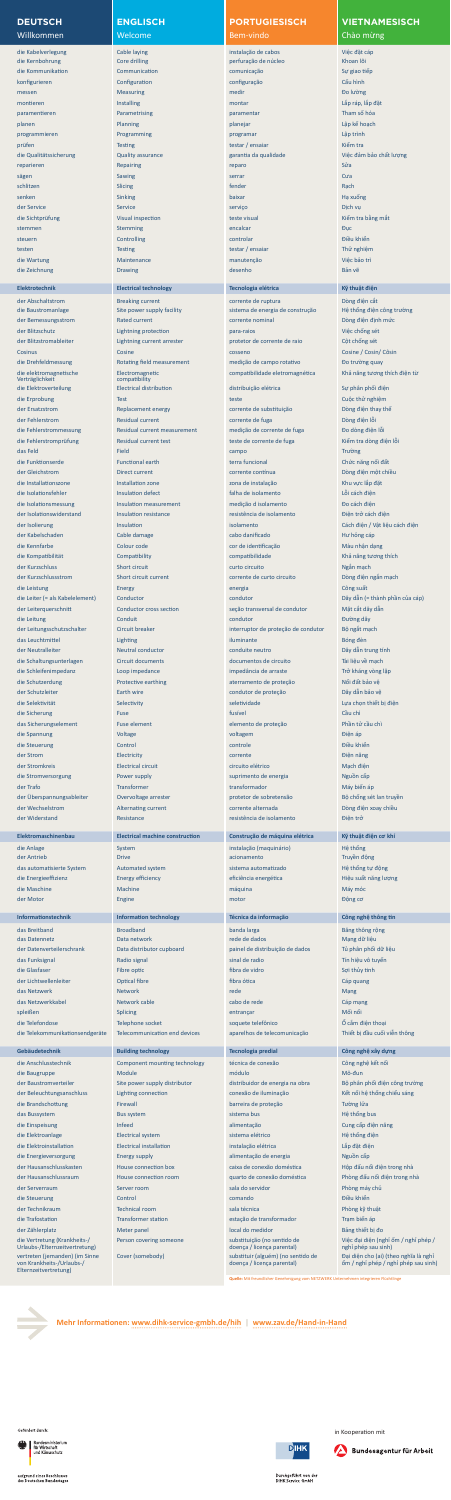## **ENGLISCH**

#### Welcome

die Kabelverlegung Cable laying instalação de cabos Việc đặt cáp die Kernbohrung Core drilling perfuração de núcleo Khoan lõi die Kommunikation Communication comunicação Sự giao tiếp konfigurieren Configuration configuração Cấu hình messen Measuring Measuring medir and the medir of the medir of the bolubing of the bolubing of the bolubing of montieren Installing montar L<del>ắp ráp, lắp đặt l</del>ắp ráp, lắp đặt l paramentieren Parametrising paramentar Tham số hóa planen Planning planejar Lập kế hoạch planejar Lập kế hoạch planejar Lập kế hoạch planejar Lập kế hoạch l programmieren Programming programar Lập trình prüfen Testing Testing testar / ensaiar Kiểm transmission (Kiểm tra die Qualitätssicherung Quality assurance garantia da qualidade Việc đảm bảo chất lượng reparieren Repairing Repairing Repairing Repairing Repairing Repairing Repairing Repairing Repairing Repairing sägen Sawing Sawing Sawing Sawing Sawing Sawing Sawing Sawing Sawing Sawing Sawing Sawing Sawing Sawing Sawing schlitzen Slicing fender Rạch senken Sinking Sinking baixar Hạ xuống Hạ xuống Hạ xuống Hạ xuống Hạ xuống Hạ xuống Hạ xuống Hạ xuống Hạ xuống der Service Service Service Service Service service serviço Service Service Service Service Service Service Se die Sichtprüfung Visual inspection teste visual Kiểm tra bằng mắt stemmen Stemming encalcar Duce of the Stemming encalcar Duce of the Stemmen Duce of the Stemming encalcar Duce steuern Controlling Controlling Controlling Controlar Controlar Diều khiển testen testar / ensaiar Thử nghiệm Thử nghiệm Thử nghiệm Thử nghiệm Thử nghiệm Thử nghiệm Thử nghiệm die Wartung Naintenance Maintenance manutenção Niệc bảo trì die Zeichnung and Bản vẽ Drawing Drawing Drawing desenho Bản vẽ Drawing Drawing Drawing Drawing Drawing Drawing

## **PORTUGIESISCH**

## Bem-vindo

## **VIETNAMESISCH** Chào mừng

#### **Elektrotechnik Electrical technology Tecnologia elétrica Kỹ thuật điện**

der Abschaltstrom Breaking current corrente de ruptura Dòng điện cắt Electromagnetic compatibility

die elektromagnetische Verträglichkeit

die Baustromanlage Site power supply facility sistema de energia de construção Hệ thống điện công trường der Bemessungsstrom Rated current corrente nominal Dòng điện định mức der Blitzschutz Lightning protection para-raios Việc chống sét der Blitzstromableiter Lightning current arrester protetor de corrente de raio Cột chống sét Cosinus Cosine Cosine Cosine Cosine Cosine Cosine Cosine Cosine Cosine Cosine Cosine Cosine Cosine Cosine Cosine Cosine Cosine Cosine Cosine Cosine Cosine Cosine Cosine Cosine Cosine Cosine Cosine Cosine Cosine Cosine Cosi die Drehfeldmessung Rotating field measurement medição de campo rotativo Đo trường quay compatibilidade eletromagnética Khả năng tương thích điện từ die Elektroverteilung Electrical distribution distribuição elétrica Sự phân phối điện die Erprobung Test teste Cuộc thử nghiệm Test teste Cuộc thử nghiệm Test teste Cuộc thử nghiệm Test teste Cuộc thử nghiệm der Ersatzstrom Replacement energy corrente de substituição Dòng điện thay thế der Fehlerstrom Residual current corrente de fuga Dòng điện lỗi die Fehlerstrommessung Residual current measurement medição de corrente de fuga Đo dòng điện lỗi die Fehlerstromprüfung Residual current test teste de corrente de fuga Kiểm tra dòng điện lỗi das Feld Field Field Campo Campo Campo Campo Campo Campo Campo Campo Campo Campo Campo Campo Campo Campo Campo die Funktionserde Functional earth terra funcional earth terra funcional chức năng nối đất der Gleichstrom Direct current corrente contínua Dòng điện một chiều die Installationszone Installation zone zona de instalação Khu vực lắp đặt die Isolationsfehler Insulation defect falha de isolamento Lỗi cách điện die Isolationsmessung Insulation measurement medição d isolamento Đo cách điện der Isolationswiderstand Insulation resistance resistencia de isolamento Điện trở cách điện der Isolierung **Insulation** insulation isolamento cách điện / Vật liệu cách điện / Vật liệu cách điện der Kabelschaden Cable damage cabo danificado entre el cabo danificado entre el estable danificado entre el es die Kennfarbe Colour code cor de identificação Màu nhận dạng die Kompatibilität Compatibility compatibilidade Khả năng tương thích der Kurzschluss Short circuit Curto circuit curto circuito Ngắn mạch der Kurzschlussstrom Short circuit current corrente de curto circuito Dòng điện ngắn mạch die Leistung Energy energia Công suất that control and the control of the control of the control of the công suất die Leiter (= als Kabelelement) Conductor condutor Dây dẫn (= thành phần của cáp) der Leiterquerschnitt Conductor cross section seção transversal de condutor Mặt cắt dây dẫn die Leitung Conduit Conduit conduction and conductor Conductor Conduction Conduction Conduction Conduction Dur der Leitungsschutzschalter Circuit breaker interruptor de proteção de condutor Bộ ngắt mạch das Leuchtmittel **Lighting in the Lighting in the Lighting** in the Lighting in the Lighting in the Lighting in th der Neutralleiter Neutral conductor conduite neutro Dây dẫn trung tính die Schaltungsunterlagen Circuit documents documentos de circuito Tài liệu về mạch die Schleifenimpedanz Loop impedance impedância de arraste Trở kháng vòng lặp

| die Schutzerdung                                                 | Protective earthing                    | aterramento de proteção                                          | Nối đất bảo vệ                                               |
|------------------------------------------------------------------|----------------------------------------|------------------------------------------------------------------|--------------------------------------------------------------|
| der Schutzleiter                                                 | Earth wire                             | condutor de proteção                                             | Dây dẫn bảo vệ                                               |
| die Selektivität                                                 | Selectivity                            | seletividade                                                     | Lựa chọn thiết bị điện                                       |
| die Sicherung                                                    | Fuse                                   | fusível                                                          | Cầu chì                                                      |
| das Sicherungselement                                            | <b>Fuse element</b>                    | elemento de proteção                                             | Phần tử cầu chì                                              |
| die Spannung                                                     | Voltage                                | voltagem                                                         | Điện áp                                                      |
| die Steuerung                                                    | Control                                | controle                                                         | Điều khiển                                                   |
| der Strom                                                        |                                        |                                                                  |                                                              |
|                                                                  | Electricity                            | corrente                                                         | Điện năng                                                    |
| der Stromkreis                                                   | <b>Electrical circuit</b>              | circuito elétrico                                                | Mach điện                                                    |
| die Stromversorgung                                              | Power supply                           | suprimento de energia                                            | Nguồn cấp                                                    |
| der Trafo                                                        | <b>Transformer</b>                     | transformador                                                    | Máy biến áp                                                  |
| der Überspannungsableiter                                        | Overvoltage arrester                   | protetor de sobretensão                                          | Bộ chống sét lan truyền                                      |
| der Wechselstrom                                                 | <b>Alternating current</b>             | corrente alternada                                               | Dòng điện xoay chiều                                         |
| der Widerstand                                                   | Resistance                             | resistência de isolamento                                        | Điện trở                                                     |
| Elektromaschinenbau                                              | <b>Electrical machine construction</b> | Construção de máquina elétrica                                   | Kỹ thuật điện cơ khí                                         |
| die Anlage                                                       | System                                 | instalação (maquinário)                                          | Hệ thống                                                     |
| der Antrieb                                                      | <b>Drive</b>                           | acionamento                                                      | Truyền động                                                  |
| das automatisierte System                                        | <b>Automated system</b>                | sistema automatizado                                             | Hệ thống tự động                                             |
| die Energieeffizienz                                             | <b>Energy efficiency</b>               | eficiência energética                                            | Hiệu suất năng lượng                                         |
| die Maschine                                                     | Machine                                | máquina                                                          | Máy móc                                                      |
| der Motor                                                        | Engine                                 | motor                                                            | Động cơ                                                      |
|                                                                  |                                        |                                                                  |                                                              |
| <b>Informationstechnik</b>                                       | <b>Information technology</b>          | Técnica da informação                                            | Công nghệ thông tin                                          |
| das Breitband                                                    | <b>Broadband</b>                       | banda larga                                                      | Băng thông rộng                                              |
| das Datennetz                                                    | Data network                           | rede de dados                                                    | Mạng dữ liệu                                                 |
| der Datenverteilerschrank                                        | Data distributor cupboard              | painel de distribuição de dados                                  | Tủ phân phối dữ liệu                                         |
| das Funksignal                                                   | Radio signal                           | sinal de radio                                                   | Tín hiệu vô tuyến                                            |
| die Glasfaser                                                    | Fibre optic                            | fibra de vidro                                                   | Sợi thủy tinh                                                |
| der Lichtwellenleiter                                            | Optical fibre                          | fibra ótica                                                      | Cáp quang                                                    |
| das Netzwerk                                                     | <b>Network</b>                         | rede                                                             | Mạng                                                         |
| das Netzwerkkabel                                                | Network cable                          | cabo de rede                                                     | Cáp mạng                                                     |
| spleißen                                                         | <b>Splicing</b>                        | entrançar                                                        | Mối nối                                                      |
| die Telefondose                                                  | Telephone socket                       | soquete telefônico                                               | Ô cắm điện thoại                                             |
| die Telekommunikationsendgeräte                                  | <b>Telecommunication end devices</b>   | aparelhos de telecomunicação                                     | Thiết bị đầu cuối viễn thông                                 |
| Gebäudetechnik                                                   | <b>Building technology</b>             | <b>Tecnologia predial</b>                                        | Công nghệ xây dựng                                           |
| die Anschlusstechnik                                             | Component mounting technology          | técnica de conexão                                               | Công nghệ kết nối                                            |
| die Baugruppe                                                    | Module                                 | módulo                                                           | Mô-đun                                                       |
| der Baustromverteiler                                            | Site power supply distributor          | distribuidor de energia na obra                                  | Bộ phân phối điện công trường                                |
| der Beleuchtungsanschluss                                        | Lighting connection                    | conexão de iluminação                                            | Kết nối hệ thống chiếu sáng                                  |
| die Brandschottung                                               | Firewall                               | barreira de proteção                                             | Tường lửa                                                    |
| das Bussystem                                                    | <b>Bus system</b>                      | sistema bus                                                      | Hệ thống bus                                                 |
| die Einspeisung                                                  | <b>Infeed</b>                          | alimentação                                                      | Cung cấp điện năng                                           |
| die Elektroanlage                                                | <b>Electrical system</b>               | sistema elétrico                                                 | Hệ thống điện                                                |
| die Elektroinstallation                                          | <b>Electrical installation</b>         | instalação elétrica                                              | Lắp đặt điện                                                 |
| die Energieversorgung                                            | Energy supply                          | alimentação de energia                                           | Nguồn cấp                                                    |
| der Hausanschlusskasten                                          | House connection box                   | caixa de conexão doméstica                                       | Hộp đấu nối điện trong nhà                                   |
| der Hausanschlussraum                                            | House connection room                  | quarto de conexão doméstica                                      | Phòng đấu nối điện trong nhà                                 |
| der Serverraum                                                   | Server room                            | sala do servidor                                                 | Phòng máy chủ                                                |
| die Steuerung                                                    | Control                                | comando                                                          | Điều khiển                                                   |
| der Technikraum                                                  | <b>Technical room</b>                  | sala técnica                                                     | Phòng kỹ thuật                                               |
| die Trafostation                                                 | <b>Transformer station</b>             | estação de transformador                                         | Trạm biến áp                                                 |
| der Zählerplatz                                                  | Meter panel                            | local do medidor                                                 | Bảng thiết bị đo                                             |
| die Vertretung (Krankheits-/                                     | Person covering someone                | substituição (no sentido de                                      | Việc đại diện (nghỉ ốm / nghỉ phép /                         |
| Urlaubs-/Elternzeitvertretung)<br>vertreten (jemanden) (im Sinne | Cover (somebody)                       | doença / licença parental)<br>substituir (alguém) (no sentido de | nghỉ phép sau sinh)<br>Đại diện cho (ai) (theo nghĩa là nghỉ |
| von Krankheits-/Urlaubs-/<br>Elternzeitvertretung)               |                                        | doença / licença parental)                                       | ốm / nghỉ phép / nghỉ phép sau sinh)                         |

**Genehmigung vom NETZWERK Unternehmen integrieren Flüchtlinger** 



in Kooperation mit



Bundesagentur für Arbeit

Durchgeführt von der<br>DIHK Service GmbH

Gefördert durch:



Bundesministerium<br>für Wirtschaft und Klimaschutz

aufgrund eines Beschlusses<br>des Deutschen Bundestages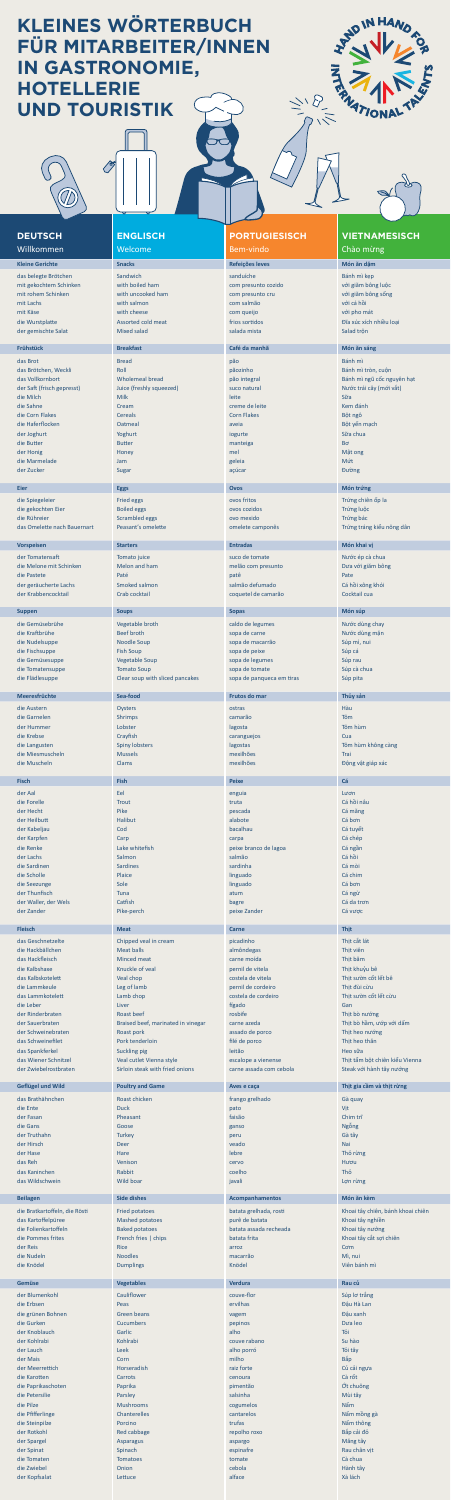das belegte Brötchen Sandwich Sandwich sanduíche Sanduíche Bánh mì kẹp Bánh mì kẹp mit gekochtem Schinken with boiled ham com presunto cozido với giăm bông luộc mit rohem Schinken with uncooked ham com presunto cru com presunto cru với giăm bông sống mit Lachs with salmon com salmão với cá hồi mit Käse von von die von die von die von die von die von die von die von die von die von die von die von die v die Wurstplatte **Assorted cold meat** frios sortidos **Dĩa xúc xích nhiều loại** điệt Wurstplatte **Đ**ĩa xúc xích nhiều loại der gemischte Salat **Mixed salad salada salada mista** Salad salad salad salad trộn salad trộn salad trộn salad trộn

das Brot Bánh mìle ann an Bread ann an Dùbhaidh ann an Dùbhaidh an Dùbhaidh an Dùbhaidh an Dùbhaidh an Dùbhaid das Brötchen, Weckli **Maria Roll pãozinho Bánh mì tròn**, cuộn der Saft (frisch gepresst) Juice (freshly squeezed) suco natural suco natural Nước trái cây (mới vắt) die Milch Milk leite S<mark>ữa Thurstein Milk leite S</mark>ửa Thurstein Nille Sữa Thurstein Nille Sữa Thurstein Sữa Thurstei die Sahne Cream Cream cream cream creme de leite Cream creme de leite Cream creme de leite Cream cream cream c die Corn Flakes Cereals Corn Flakes Bột ngô die Haferflocken Oatmeal aveia Bột yến mạch nhau được thành thất thanh thất thanh thất thất thất thất thất thấ der Joghurt Yoghurt iogurte Sữa chua die Butter aan die Booten Botter man die Botter manteiga boek in die Botter aan die Botter begin die Botter aa der Honig Honey Manus Honey Manus Honey Manus Honey Manus Honey Manus Honey Manus Honey Manus Honey Manus Honey die Marmelade **Jam geleia Múteuse († 18. mart** 1908) waarden die geleia van die Nútrich-Afrikaanse konstantinopl

die Spiegeleier Fried eggs ovos fritos Trứng chiến ốp la mang chiến ốp la mang chiến thành trứng chiến ốp la die gekochten Eier **Boiled eggs over the Boiled eggs** ovos cozidos and the Boiled eggs over the Boiled eggs over the Boiled eggs over the Boiled eggs over the Boiled eggs over the Boiled eggs over the Boiled eggs over the die Rühreier Scrambled eggs ovo mexido California Trứng bác das Omelette nach Bauernart Peasant's omelette omenet omelete camponês Trứng tráng kiểu nông dân

## **ENGLISCH** Welcome

# **Kleine Gerichte Snacks Snacks Refeições leves Refeições leves Món ăn dặm**

# **PORTUGIESISCH**

## Bem-vindo

### **Frühstück Breakfast Breakfast Café da manhã Món ăn sáng**

der Zucker Sugar açúcar Burgar açúcar açúcar açúcar açúcar açúcar açúcar açúcar açúcar açúcar açúcar açúcar aç

## **VIETNAMESISCH** Chào mừng

No top

 $\mathcal{B}_{1}$ 

das Vollkornbort **Michael Müster Wholemeal bread** pão integral pão integral pão integral Bánh mì ngũ cốc nguyên hạt

der Tomatensaft **Tomato juice** suco de tomate suco de tomate suco de tomate suco de tomate Nước ép cà chua die Melone mit Schinken Melon and ham melão com presunto Dưa với giăm bông die Pastete Patentine Patentine Patentine Patentine Patentine Patentine Patentine Patentine Patentine Patentin der geräucherte Lachs Smoked salmon salmão defumado Cá hồi xông khói der Krabbencocktail Crab cocktail coquetel de camarão Cocktail cua

# **Eier Eggs Ovos Món trứng**

#### **Vorspeisen Starters Entradas Món khai vị**

## **Suppen Soups Sopas Món súp**

die Gemüsebrühe Vegetable broth caldo de legumes Nước dùng chay die Kraftbrühe Beef broth Beef broth sopa de carne Nước dùng mặn die Nudelsuppe Noodle Soup sopa de macarrão Súp mì, nui die Fischsuppe Fish Soup Sopa de peixe Súp cá sopa de peixe Súp cá sopa de peixe Súp cá súp cá súp cá súp cá s die Gemüsesuppe Supperventigte Vegetable Soup sopa de legumes Supperventigte Supperventigte Supperventigte Sup die Tomatensuppe Tomato Soup sopa de tomate Súp cà chua sopa de tomate Súp cà chua sopa de tomate Súp cà chua die Flädlesuppe Clear soup with sliced pancakes sopa de panqueca em tiras Súp pita

| <b>Meeresfrüchte</b>          | Sea-food                           | <b>Frutos do mar</b>    | Thủy sản                          |
|-------------------------------|------------------------------------|-------------------------|-----------------------------------|
|                               |                                    |                         |                                   |
| die Austern                   | Oysters                            | ostras                  | Hàu                               |
| die Garnelen                  | <b>Shrimps</b>                     | camarão                 | Tôm                               |
| der Hummer                    | Lobster                            | lagosta                 | Tôm hùm                           |
| die Krebse                    | Crayfish                           | caranguejos             | Cua                               |
| die Langusten                 | <b>Spiny lobsters</b>              | lagostas                | Tôm hùm không càng                |
| die Miesmuscheln              | <b>Mussels</b>                     | mexilhões               |                                   |
|                               |                                    |                         | Trai                              |
| die Muscheln                  | <b>Clams</b>                       | mexilhões               | Động vật giáp xác                 |
|                               |                                    |                         |                                   |
| <b>Fisch</b>                  | <b>Fish</b>                        | <b>Peixe</b>            | Cá                                |
| der Aal                       | Eel                                | enguia                  | Lươn                              |
| die Forelle                   | <b>Trout</b>                       | truta                   | Cá hồi nâu                        |
|                               |                                    |                         |                                   |
| der Hecht                     | Pike                               | pescada                 | Cá măng                           |
| der Heilbutt                  | <b>Halibut</b>                     | alabote                 | Cá bơn                            |
| der Kabeljau                  | Cod                                | bacalhau                | Cá tuyết                          |
| der Karpfen                   | Carp                               | carpa                   | Cá chép                           |
| die Renke                     | Lake whitefish                     | peixe branco de lagoa   | Cá ngần                           |
| der Lachs                     | Salmon                             | salmão                  | Cá hồi                            |
| die Sardinen                  | <b>Sardines</b>                    | sardinha                | Cá mòi                            |
| die Scholle                   | Plaice                             | linguado                | Cá chim                           |
|                               |                                    |                         | Cá bơn                            |
| die Seezunge                  | Sole                               | linguado                |                                   |
| der Thunfisch                 | <b>Tuna</b>                        | atum                    | Cá ngừ                            |
| der Waller, der Wels          | Catfish                            | bagre                   | Cá da trơn                        |
| der Zander                    | Pike-perch                         | peixe Zander            | Cá vược                           |
|                               |                                    |                         |                                   |
| <b>Fleisch</b>                | <b>Meat</b>                        | Carne                   | <b>Thit</b>                       |
|                               |                                    |                         |                                   |
| das Geschnetzelte             | Chipped veal in cream              | picadinho               | Thịt cắt lát                      |
| die Hackbällchen              | <b>Meat balls</b>                  | almôndegas              | Thịt viên                         |
| das Hackfleisch               | <b>Minced meat</b>                 | carne moída             | Thịt băm                          |
| die Kalbshaxe                 | Knuckle of yeal                    | pernil de vitela        | Thịt khuỷu bê                     |
| das Kalbskotelett             | Veal chop                          | costela de vitela       | Thit sườn cốt lết bê              |
| die Lammkeule                 | Leg of lamb                        | pernil de cordeiro      | Thịt đùi cừu                      |
| das Lammkotelett              | Lamb chop                          | costela de cordeiro     | Thit sườn cốt lết cừu             |
| die Leber                     | Liver                              | fígado                  | Gan                               |
|                               |                                    | rosbife                 |                                   |
| der Rinderbraten              | Roast beef                         |                         | Thịt bò nướng                     |
| der Sauerbraten               | Braised beef, marinated in vinegar | carne azeda             | Thịt bò hầm, ướp với dấm          |
|                               |                                    |                         |                                   |
| der Schweinebraten            | Roast pork                         | assado de porco         | Thịt heo nướng                    |
| das Schweinefilet             | Pork tenderloin                    | filé de porco           | Thịt heo thăn                     |
| das Spankferkel               | Suckling pig                       | leitão                  | Heo sữa                           |
| das Wiener Schnitzel          | Veal cutlet Vienna style           | escalope a vienense     |                                   |
|                               |                                    |                         | Thịt tẩm bột chiên kiểu Vienna    |
| der Zwiebelrostbraten         | Sirloin steak with fried onions    | carne assada com cebola | Steak với hành tây nướng          |
|                               |                                    |                         |                                   |
| <b>Geflügel und Wild</b>      | <b>Poultry and Game</b>            | Aves e caça             | Thịt gia cầm và thịt rừng         |
| das Brathähnchen              | Roast chicken                      | frango grelhado         | Gà quay                           |
| die Ente                      | <b>Duck</b>                        | pato                    | Vịt                               |
| der Fasan                     | Pheasant                           | faisão                  | Chim trĩ                          |
| die Gans                      | Goose                              | ganso                   | Ngỗng                             |
| der Truthahn                  | <b>Turkey</b>                      | peru                    |                                   |
| der Hirsch                    |                                    |                         | Gà tây                            |
|                               | <b>Deer</b>                        | veado                   | Nai                               |
| der Hase                      | Hare                               | lebre                   | Thỏ rừng                          |
| das Reh                       | Venison                            | cervo                   | Hươu                              |
| das Kaninchen                 | Rabbit                             | coelho                  | Thỏ                               |
| das Wildschwein               | <b>Wild boar</b>                   | javali                  | Lợn rừng                          |
|                               |                                    |                         |                                   |
| <b>Beilagen</b>               | <b>Side dishes</b>                 | <b>Acompanhamentos</b>  | Món ăn kèm                        |
|                               |                                    |                         |                                   |
| die Bratkartoffeln, die Rösti | <b>Fried potatoes</b>              | batata grelhada, rosti  | Khoai tây chiên, bánh khoai chiên |
| das Kartoffelpüree            | <b>Mashed potatoes</b>             | purê de batata          | Khoai tây nghiền                  |
| die Folienkartoffeln          | <b>Baked potatoes</b>              | batata assada recheada  | Khoai tây nướng                   |
| die Pommes frites             | French fries   chips               | batata frita            | Khoai tây cắt sợi chiên           |
| der Reis                      | <b>Rice</b>                        | arroz                   | Com                               |
| die Nudeln                    | <b>Noodles</b>                     | macarrão                | Mì, nui                           |
| die Knödel                    | <b>Dumplings</b>                   | Knödel                  | Viên bánh mì                      |
|                               |                                    |                         |                                   |
| <b>Gemüse</b>                 | <b>Vegetables</b>                  | <b>Verdura</b>          | Rau củ                            |
|                               |                                    |                         |                                   |
| der Blumenkohl                | Cauliflower                        | couve-flor              | Súp lơ trắng                      |
| die Erbsen                    | Peas                               | ervilhas                | Đậu Hà Lan                        |
| die grünen Bohnen             | <b>Green beans</b>                 | vagem                   | Đậu xanh                          |
| die Gurken                    | <b>Cucumbers</b>                   | pepinos                 | Du'a leo                          |
| der Knoblauch                 | Garlic                             | alho                    | Tỏi                               |
| der Kohlrabi                  | Kohlrabi                           | couve rabano            | Su hào                            |
| der Lauch                     | Leek                               |                         |                                   |
| der Mais                      | Corn                               | alho porró<br>milho     | Tỏi tây<br>Bắp                    |

der Meerrettich **Horseradish raiz forte** raiz forte Củ cải ngựa của người Horseradish raiz forte Củ cải ngựa củ die Karotten Carrots Carrots cenoura Cà rốt cenoura Cà rốt cenoura Cà rốt cenoura Cà rốt cho cho cho cho cho c die Paprikaschoten **Paprika pimentão (1999)** Paprika pimentão **(1999)** Paprika pimentão (1999) Paprika pimentão (1999) Paprika pimentão (1999) Paprika pimentão (1999) Paprika pimentão (1999) Paprika pimentão (1999) Papri die Petersilie Parsley salsinha Parsley salsinha Mùi tây Mùi tây Mùi tây salsinha Ann an Ann an Mùi tây Mùi tây die Pilze Mushrooms cogumelos Nấm die Pfifferlinge Chanterelles Chanterelles cantarelos cantarelos Chanterelles Chanterelles Chanterelles Chanterelles die Steinpilze **Porcino Community Community Community Community Community Community Community Community Community Community Community Community Community Community Community Community Community Community Community Communit** der Rotkohl Red cabbage repolho roxo Bắp cải đỏ der Spargel Asparagus asparagus asparagus aspargo Asparagus aspargo Asparagus aspargo Asparagus aspargo Măng tây der Spinat Spinach espinach espinach espinalisme espinafre spinalisme espinafre spinalisme espinalisme espina die Tomaten Tomatoes tomate Cà chua die Zwiebel Onion cebola Hành tây der Kopfsalat **Lettuce alface** alface alface Xà lách alface Xà lách alface xine alface xine xà lách alface xine x

# **KLEINES WÖRTERBUCH FÜR MITARBEITER/INNEN IN GASTRONOMIE, HOTELLERIE UND TOURISTIK**